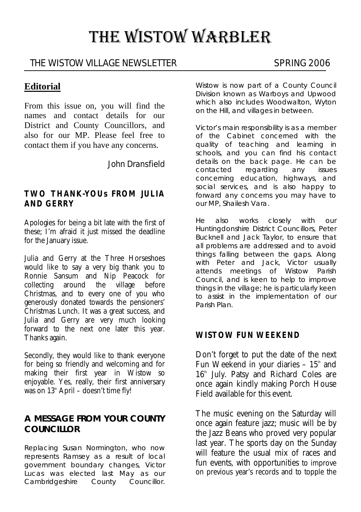# THE WISTOW WARBLER

## THE WISTOW VILLAGE NEWSLETTER SPRING 2006

## **Editorial**

From this issue on, you will find the names and contact details for our District and County Councillors, and also for our MP. Please feel free to contact them if you have any concerns.

John Dransfield

#### **TWO THANK-YOUs FROM JULIA AND GERRY**

Apologies for being a bit late with the first of these; I'm afraid it just missed the deadline for the January issue.

Julia and Gerry at the Three Horseshoes would like to say a very big thank you to Ronnie Sansum and Nip Peacock for collecting around the village before Christmas, and to every one of you who generously donated towards the pensioners' Christmas Lunch. It was a great success, and Julia and Gerry are very much looking forward to the next one later this year. Thanks again.

Secondly, they would like to thank everyone for being so friendly and welcoming and for making their first year in Wistow so enjoyable. Yes, really, their first anniversary was on  $13<sup>th</sup>$  April – doesn't time fly!

#### **A MESSAGE FROM YOUR COUNTY COUNCILLOR**

Replacing Susan Normington, who now represents Ramsey as a result of local government boundary changes, Victor Lucas was elected last May as our Cambridgeshire County Councillor.

Wistow is now part of a County Council Division known as Warboys and Upwood which also includes Woodwalton, Wyton on the Hill, and villages in between.

Victor's main responsibility is as a member of the Cabinet concerned with the quality of teaching and learning in schools, and you can find his contact details on the back page. He can be contacted regarding any issues concerning education, highways, and social services, and is also happy to forward any concerns you may have to our MP, Shailesh Vara.

He also works closely with our Huntingdonshire District Councillors, Peter Bucknell and Jack Taylor, to ensure that all problems are addressed and to avoid things falling between the gaps. Along with Peter and Jack, Victor usually attends meetings of Wistow Parish Council, and is keen to help to improve things in the village; he is particularly keen to assist in the implementation of our Parish Plan.

#### **WISTOW FUN WEEKEND**

Don't forget to put the date of the next Fun Weekend in your diaries  $-15<sup>th</sup>$  and 16<sup>th</sup> July. Patsy and Richard Coles are once again kindly making Porch House Field available for this event.

The music evening on the Saturday will once again feature jazz; music will be by the Jazz Beans who proved very popular last year. The sports day on the Sunday will feature the usual mix of races and fun events, with opportunities to improve on previous year's records and to topple the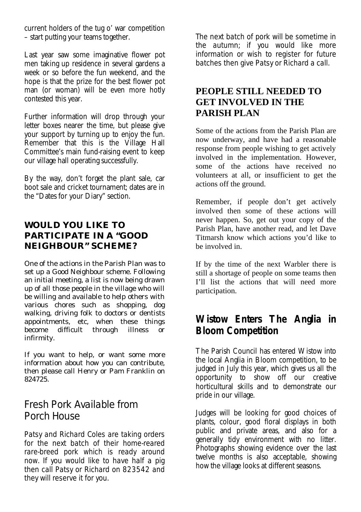current holders of the tug o' war competition – start putting your teams together.

Last year saw some imaginative flower pot men taking up residence in several gardens a week or so before the fun weekend, and the hope is that the prize for the best flower pot man (or woman) will be even more hotly contested this year.

Further information will drop through your letter boxes nearer the time, but please give your support by turning up to enjoy the fun. Remember that this is the Village Hall Committee's main fund-raising event to keep our village hall operating successfully.

By the way, don't forget the plant sale, car boot sale and cricket tournament; dates are in the "Dates for your Diary" section.

## **WOULD YOU LIKE TO PARTICIPATE IN A "GOOD NEIGHBOUR" SCHEME?**

One of the actions in the Parish Plan was to set up a Good Neighbour scheme. Following an initial meeting, a list is now being drawn up of all those people in the village who will be willing and available to help others with various chores such as shopping, dog walking, driving folk to doctors or dentists appointments, etc, when these things become difficult through illness or infirmity.

If you want to help, or want some more information about how you can contribute, then please call Henry or Pam Franklin on 824725.

## Fresh Pork Available from Porch House

Patsy and Richard Coles are taking orders for the next batch of their home-reared rare-breed pork which is ready around now. If you would like to have half a pig then call Patsy or Richard on 823542 and they will reserve it for you.

The next batch of pork will be sometime in the autumn; if you would like more information or wish to register for future batches then give Patsy or Richard a call.

## **PEOPLE STILL NEEDED TO GET INVOLVED IN THE PARISH PLAN**

Some of the actions from the Parish Plan are now underway, and have had a reasonable response from people wishing to get actively involved in the implementation. However, some of the actions have received no volunteers at all, or insufficient to get the actions off the ground.

Remember, if people don't get actively involved then some of these actions will never happen. So, get out your copy of the Parish Plan, have another read, and let Dave Titmarsh know which actions you'd like to be involved in.

If by the time of the next Warbler there is still a shortage of people on some teams then I'll list the actions that will need more participation.

## **Wistow Enters The Anglia in Bloom Competition**

The Parish Council has entered Wistow into the local Anglia in Bloom competition, to be judged in July this year, which gives us all the opportunity to show off our creative horticultural skills and to demonstrate our pride in our village.

Judges will be looking for good choices of plants, colour, good floral displays in both public and private areas, and also for a generally tidy environment with no litter. Photographs showing evidence over the last twelve months is also acceptable, showing how the village looks at different seasons.